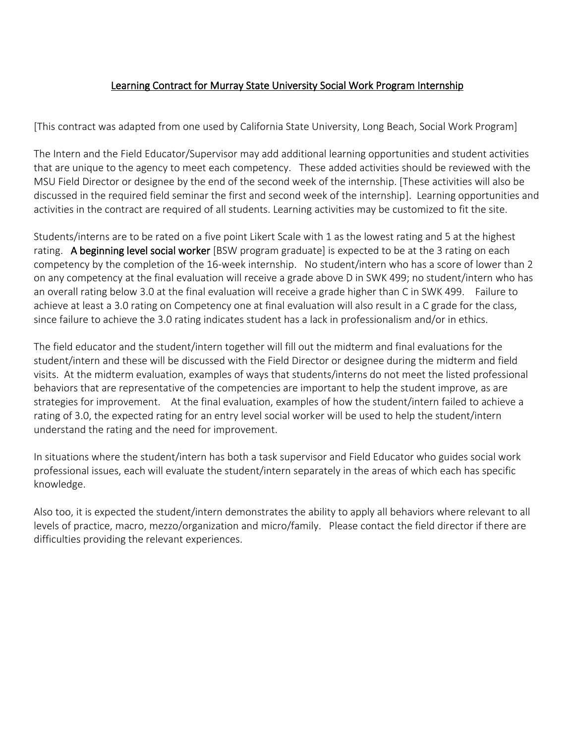### Learning Contract for Murray State University Social Work Program Internship

[This contract was adapted from one used by California State University, Long Beach, Social Work Program]

The Intern and the Field Educator/Supervisor may add additional learning opportunities and student activities that are unique to the agency to meet each competency. These added activities should be reviewed with the MSU Field Director or designee by the end of the second week of the internship. [These activities will also be discussed in the required field seminar the first and second week of the internship]. Learning opportunities and activities in the contract are required of all students. Learning activities may be customized to fit the site.

Students/interns are to be rated on a five point Likert Scale with 1 as the lowest rating and 5 at the highest rating. A beginning level social worker [BSW program graduate] is expected to be at the 3 rating on each competency by the completion of the 16-week internship. No student/intern who has a score of lower than 2 on any competency at the final evaluation will receive a grade above D in SWK 499; no student/intern who has an overall rating below 3.0 at the final evaluation will receive a grade higher than C in SWK 499. Failure to achieve at least a 3.0 rating on Competency one at final evaluation will also result in a C grade for the class, since failure to achieve the 3.0 rating indicates student has a lack in professionalism and/or in ethics.

The field educator and the student/intern together will fill out the midterm and final evaluations for the student/intern and these will be discussed with the Field Director or designee during the midterm and field visits. At the midterm evaluation, examples of ways that students/interns do not meet the listed professional behaviors that are representative of the competencies are important to help the student improve, as are strategies for improvement. At the final evaluation, examples of how the student/intern failed to achieve a rating of 3.0, the expected rating for an entry level social worker will be used to help the student/intern understand the rating and the need for improvement.

In situations where the student/intern has both a task supervisor and Field Educator who guides social work professional issues, each will evaluate the student/intern separately in the areas of which each has specific knowledge.

Also too, it is expected the student/intern demonstrates the ability to apply all behaviors where relevant to all levels of practice, macro, mezzo/organization and micro/family. Please contact the field director if there are difficulties providing the relevant experiences.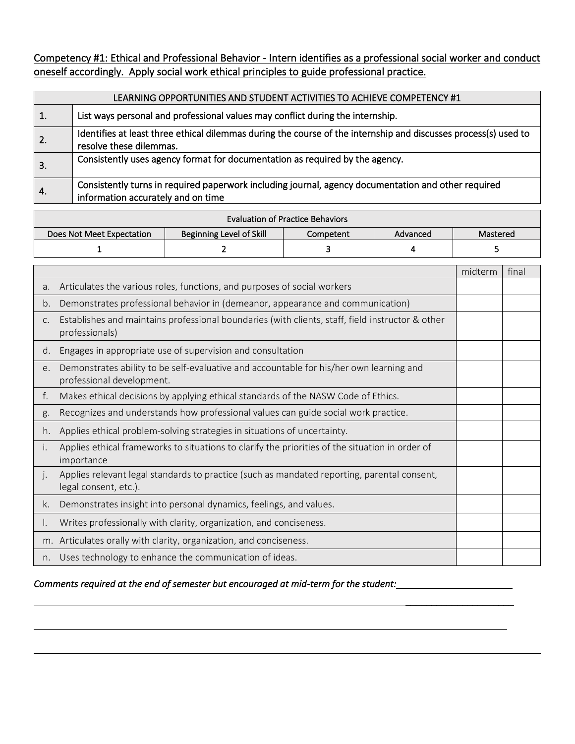Competency #1: Ethical and Professional Behavior - Intern identifies as a professional social worker and conduct oneself accordingly. Apply social work ethical principles to guide professional practice.

|     | LEARNING OPPORTUNITIES AND STUDENT ACTIVITIES TO ACHIEVE COMPETENCY #1                                                                     |  |  |  |  |
|-----|--------------------------------------------------------------------------------------------------------------------------------------------|--|--|--|--|
|     | List ways personal and professional values may conflict during the internship.                                                             |  |  |  |  |
| -2. | Identifies at least three ethical dilemmas during the course of the internship and discusses process(s) used to<br>resolve these dilemmas. |  |  |  |  |
| 3.  | Consistently uses agency format for documentation as required by the agency.                                                               |  |  |  |  |
| -4. | Consistently turns in required paperwork including journal, agency documentation and other required<br>information accurately and on time  |  |  |  |  |

| <b>Evaluation of Practice Behaviors</b> |                                 |           |          |          |  |  |
|-----------------------------------------|---------------------------------|-----------|----------|----------|--|--|
| Does Not Meet Expectation               | <b>Beginning Level of Skill</b> | Competent | Advanced | Mastered |  |  |
|                                         |                                 |           |          |          |  |  |

|    |                                                                                                                      | midterm | final |
|----|----------------------------------------------------------------------------------------------------------------------|---------|-------|
| a. | Articulates the various roles, functions, and purposes of social workers                                             |         |       |
| b. | Demonstrates professional behavior in (demeanor, appearance and communication)                                       |         |       |
| C. | Establishes and maintains professional boundaries (with clients, staff, field instructor & other<br>professionals)   |         |       |
| d. | Engages in appropriate use of supervision and consultation                                                           |         |       |
| e. | Demonstrates ability to be self-evaluative and accountable for his/her own learning and<br>professional development. |         |       |
| f. | Makes ethical decisions by applying ethical standards of the NASW Code of Ethics.                                    |         |       |
| g. | Recognizes and understands how professional values can guide social work practice.                                   |         |       |
| h. | Applies ethical problem-solving strategies in situations of uncertainty.                                             |         |       |
| İ. | Applies ethical frameworks to situations to clarify the priorities of the situation in order of<br>importance        |         |       |
| j. | Applies relevant legal standards to practice (such as mandated reporting, parental consent,<br>legal consent, etc.). |         |       |
| k. | Demonstrates insight into personal dynamics, feelings, and values.                                                   |         |       |
| ۱. | Writes professionally with clarity, organization, and conciseness.                                                   |         |       |
|    | m. Articulates orally with clarity, organization, and conciseness.                                                   |         |       |
| n. | Uses technology to enhance the communication of ideas.                                                               |         |       |

\_\_\_\_\_\_\_\_\_\_\_\_\_\_\_\_\_\_\_\_\_

*Comments required at the end of semester but encouraged at mid-term for the student:*

 $\overline{\phantom{0}}$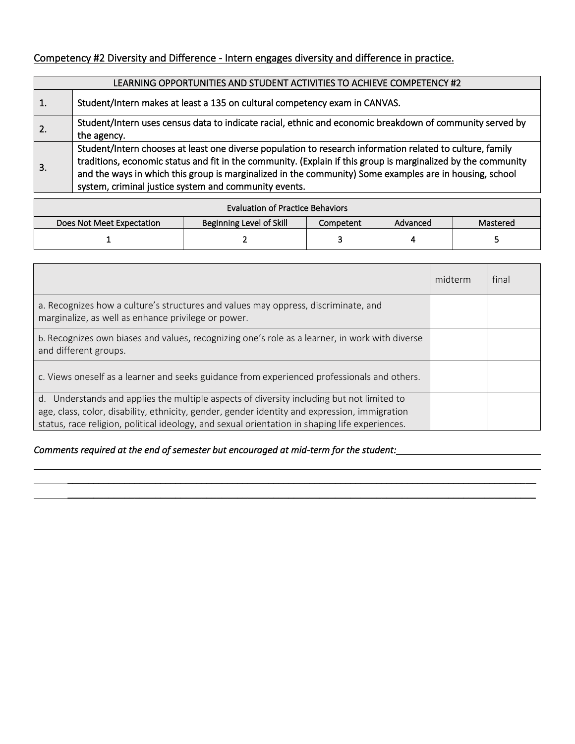## Competency #2 Diversity and Difference - Intern engages diversity and difference in practice.

|    | LEARNING OPPORTUNITIES AND STUDENT ACTIVITIES TO ACHIEVE COMPETENCY #2                                                                                                                                                                                                                                                                                                                         |  |  |  |
|----|------------------------------------------------------------------------------------------------------------------------------------------------------------------------------------------------------------------------------------------------------------------------------------------------------------------------------------------------------------------------------------------------|--|--|--|
| 1. | Student/Intern makes at least a 135 on cultural competency exam in CANVAS.                                                                                                                                                                                                                                                                                                                     |  |  |  |
| 2. | Student/Intern uses census data to indicate racial, ethnic and economic breakdown of community served by<br>the agency.                                                                                                                                                                                                                                                                        |  |  |  |
| 3. | Student/Intern chooses at least one diverse population to research information related to culture, family<br>traditions, economic status and fit in the community. (Explain if this group is marginalized by the community<br>and the ways in which this group is marginalized in the community) Some examples are in housing, school<br>system, criminal justice system and community events. |  |  |  |

| <b>Evaluation of Practice Behaviors</b>                                                           |  |  |  |  |  |  |
|---------------------------------------------------------------------------------------------------|--|--|--|--|--|--|
| <b>Beginning Level of Skill</b><br>Does Not Meet Expectation<br>Advanced<br>Competent<br>Mastered |  |  |  |  |  |  |
|                                                                                                   |  |  |  |  |  |  |

|                                                                                                                                                                                                                                                                                              | midterm | final |
|----------------------------------------------------------------------------------------------------------------------------------------------------------------------------------------------------------------------------------------------------------------------------------------------|---------|-------|
| a. Recognizes how a culture's structures and values may oppress, discriminate, and<br>marginalize, as well as enhance privilege or power.                                                                                                                                                    |         |       |
| b. Recognizes own biases and values, recognizing one's role as a learner, in work with diverse<br>and different groups.                                                                                                                                                                      |         |       |
| c. Views oneself as a learner and seeks guidance from experienced professionals and others.                                                                                                                                                                                                  |         |       |
| d. Understands and applies the multiple aspects of diversity including but not limited to<br>age, class, color, disability, ethnicity, gender, gender identity and expression, immigration<br>status, race religion, political ideology, and sexual orientation in shaping life experiences. |         |       |

 $\overline{\phantom{a}}$  , and the contract of the contract of the contract of the contract of the contract of the contract of the contract of the contract of the contract of the contract of the contract of the contract of the contrac

\_\_\_\_\_\_\_\_\_\_\_\_\_\_\_\_\_\_\_\_\_\_\_\_\_\_\_\_\_\_\_\_\_\_\_\_\_\_\_\_\_\_\_\_\_\_\_\_\_\_\_\_\_\_\_\_\_\_\_\_\_\_\_\_\_\_\_\_\_\_\_\_\_\_\_\_\_\_\_\_\_\_\_\_\_\_\_\_\_\_\_

#### *Comments required at the end of semester but encouraged at mid-term for the student:*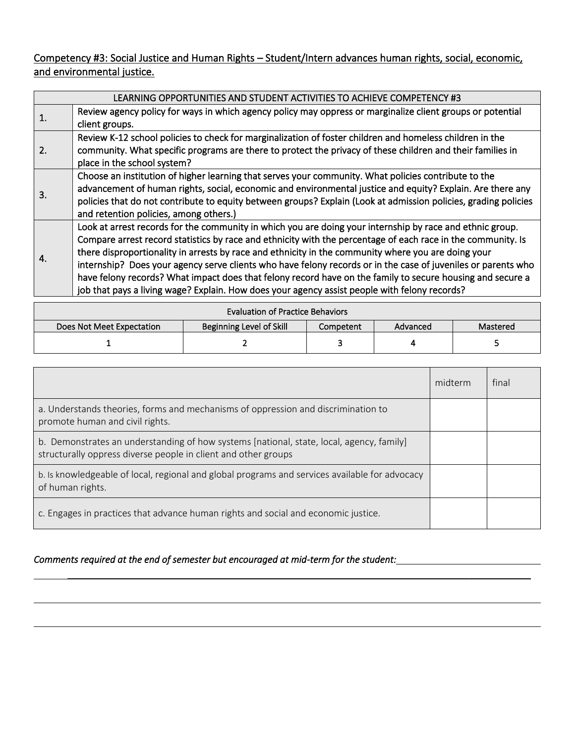Competency #3: Social Justice and Human Rights – Student/Intern advances human rights, social, economic, and environmental justice.

|    | LEARNING OPPORTUNITIES AND STUDENT ACTIVITIES TO ACHIEVE COMPETENCY #3                                          |  |  |  |  |
|----|-----------------------------------------------------------------------------------------------------------------|--|--|--|--|
| 1. | Review agency policy for ways in which agency policy may oppress or marginalize client groups or potential      |  |  |  |  |
|    | client groups.                                                                                                  |  |  |  |  |
|    | Review K-12 school policies to check for marginalization of foster children and homeless children in the        |  |  |  |  |
| 2. | community. What specific programs are there to protect the privacy of these children and their families in      |  |  |  |  |
|    | place in the school system?                                                                                     |  |  |  |  |
|    | Choose an institution of higher learning that serves your community. What policies contribute to the            |  |  |  |  |
| 3. | advancement of human rights, social, economic and environmental justice and equity? Explain. Are there any      |  |  |  |  |
|    | policies that do not contribute to equity between groups? Explain (Look at admission policies, grading policies |  |  |  |  |
|    | and retention policies, among others.)                                                                          |  |  |  |  |
|    | Look at arrest records for the community in which you are doing your internship by race and ethnic group.       |  |  |  |  |
|    | Compare arrest record statistics by race and ethnicity with the percentage of each race in the community. Is    |  |  |  |  |
| 4. | there disproportionality in arrests by race and ethnicity in the community where you are doing your             |  |  |  |  |
|    | internship? Does your agency serve clients who have felony records or in the case of juveniles or parents who   |  |  |  |  |
|    | have felony records? What impact does that felony record have on the family to secure housing and secure a      |  |  |  |  |
|    | job that pays a living wage? Explain. How does your agency assist people with felony records?                   |  |  |  |  |
|    |                                                                                                                 |  |  |  |  |

| <b>Evaluation of Practice Behaviors</b>                                                    |  |  |  |  |  |  |
|--------------------------------------------------------------------------------------------|--|--|--|--|--|--|
| Beginning Level of Skill<br>Does Not Meet Expectation<br>Competent<br>Advanced<br>Mastered |  |  |  |  |  |  |
|                                                                                            |  |  |  |  |  |  |

|                                                                                                                                                            | midterm | final |
|------------------------------------------------------------------------------------------------------------------------------------------------------------|---------|-------|
| a. Understands theories, forms and mechanisms of oppression and discrimination to<br>promote human and civil rights.                                       |         |       |
| b. Demonstrates an understanding of how systems [national, state, local, agency, family]<br>structurally oppress diverse people in client and other groups |         |       |
| b. Is knowledgeable of local, regional and global programs and services available for advocacy<br>of human rights.                                         |         |       |
| c. Engages in practices that advance human rights and social and economic justice.                                                                         |         |       |

 $\overline{\phantom{a}}$  , and the contract of the contract of the contract of the contract of the contract of the contract of the contract of the contract of the contract of the contract of the contract of the contract of the contrac

#### *Comments required at the end of semester but encouraged at mid-term for the student:*

L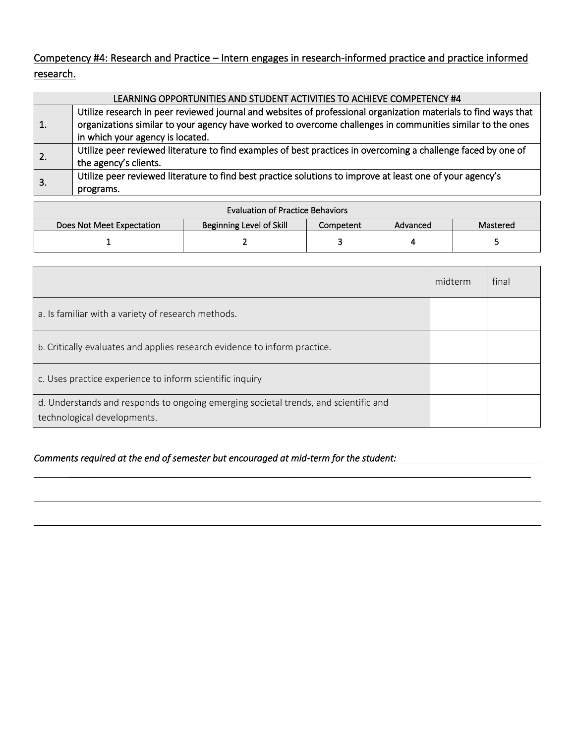Competency #4: Research and Practice – Intern engages in research-informed practice and practice informed research.

|    | LEARNING OPPORTUNITIES AND STUDENT ACTIVITIES TO ACHIEVE COMPETENCY #4                                                                                                                                                                                            |
|----|-------------------------------------------------------------------------------------------------------------------------------------------------------------------------------------------------------------------------------------------------------------------|
| 1. | Utilize research in peer reviewed journal and websites of professional organization materials to find ways that<br>organizations similar to your agency have worked to overcome challenges in communities similar to the ones<br>in which your agency is located. |
| 2. | Utilize peer reviewed literature to find examples of best practices in overcoming a challenge faced by one of<br>the agency's clients.                                                                                                                            |
| 3. | Utilize peer reviewed literature to find best practice solutions to improve at least one of your agency's<br>programs.                                                                                                                                            |

| <b>Evaluation of Practice Behaviors</b> |                                 |           |          |          |  |  |
|-----------------------------------------|---------------------------------|-----------|----------|----------|--|--|
| Does Not Meet Expectation               | <b>Beginning Level of Skill</b> | Competent | Advanced | Mastered |  |  |
|                                         |                                 |           |          |          |  |  |

|                                                                                                                    | midterm | final |
|--------------------------------------------------------------------------------------------------------------------|---------|-------|
| a. Is familiar with a variety of research methods.                                                                 |         |       |
| b. Critically evaluates and applies research evidence to inform practice.                                          |         |       |
| c. Uses practice experience to inform scientific inquiry                                                           |         |       |
| d. Understands and responds to ongoing emerging societal trends, and scientific and<br>technological developments. |         |       |

\_\_\_\_\_\_\_\_\_\_\_\_\_\_\_\_\_\_\_\_\_\_\_\_\_\_\_\_\_\_\_\_\_\_\_\_\_\_\_\_\_\_\_\_\_\_\_\_\_\_\_\_\_\_\_\_\_\_\_\_\_\_\_\_\_\_\_\_\_\_\_\_\_\_\_\_\_\_\_\_\_\_\_\_\_\_\_\_\_\_

*Comments required at the end of semester but encouraged at mid-term for the student:*

 $\overline{\phantom{0}}$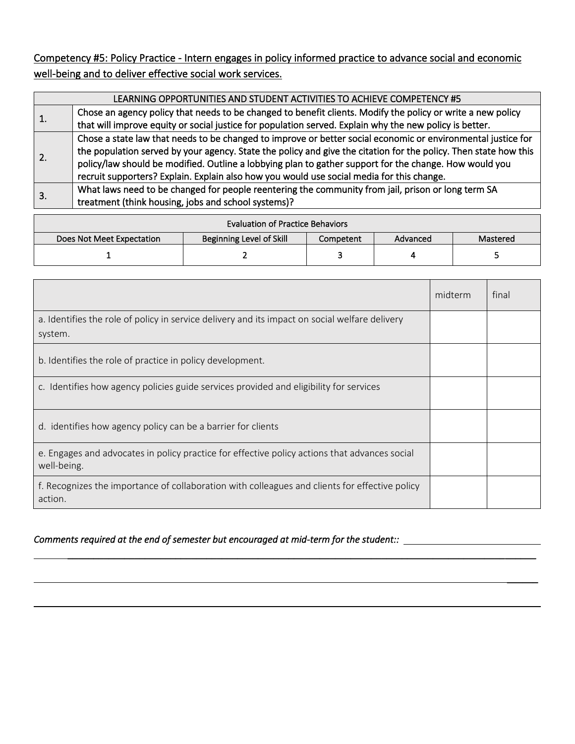Competency #5: Policy Practice - Intern engages in policy informed practice to advance social and economic well-being and to deliver effective social work services.

|              | LEARNING OPPORTUNITIES AND STUDENT ACTIVITIES TO ACHIEVE COMPETENCY #5                                           |  |  |  |  |
|--------------|------------------------------------------------------------------------------------------------------------------|--|--|--|--|
| $\mathbf{1}$ | Chose an agency policy that needs to be changed to benefit clients. Modify the policy or write a new policy      |  |  |  |  |
|              | that will improve equity or social justice for population served. Explain why the new policy is better.          |  |  |  |  |
|              | Chose a state law that needs to be changed to improve or better social economic or environmental justice for     |  |  |  |  |
| 2.           | the population served by your agency. State the policy and give the citation for the policy. Then state how this |  |  |  |  |
|              | policy/law should be modified. Outline a lobbying plan to gather support for the change. How would you           |  |  |  |  |
|              | recruit supporters? Explain. Explain also how you would use social media for this change.                        |  |  |  |  |
| 3.           | What laws need to be changed for people reentering the community from jail, prison or long term SA               |  |  |  |  |
|              | treatment (think housing, jobs and school systems)?                                                              |  |  |  |  |

| <b>Evaluation of Practice Behaviors</b> |                                 |           |          |          |  |
|-----------------------------------------|---------------------------------|-----------|----------|----------|--|
| Does Not Meet Expectation               | <b>Beginning Level of Skill</b> | Competent | Advanced | Mastered |  |
|                                         |                                 |           |          |          |  |

|                                                                                                              | midterm | final |
|--------------------------------------------------------------------------------------------------------------|---------|-------|
| a. Identifies the role of policy in service delivery and its impact on social welfare delivery<br>system.    |         |       |
| b. Identifies the role of practice in policy development.                                                    |         |       |
| c. Identifies how agency policies guide services provided and eligibility for services                       |         |       |
| d. identifies how agency policy can be a barrier for clients                                                 |         |       |
| e. Engages and advocates in policy practice for effective policy actions that advances social<br>well-being. |         |       |
| f. Recognizes the importance of collaboration with colleagues and clients for effective policy<br>action.    |         |       |

 $\overline{\phantom{a}}$  , and the contract of the contract of the contract of the contract of the contract of the contract of the contract of the contract of the contract of the contract of the contract of the contract of the contrac

\_\_\_\_\_\_

#### *Comments required at the end of semester but encouraged at mid-term for the student::*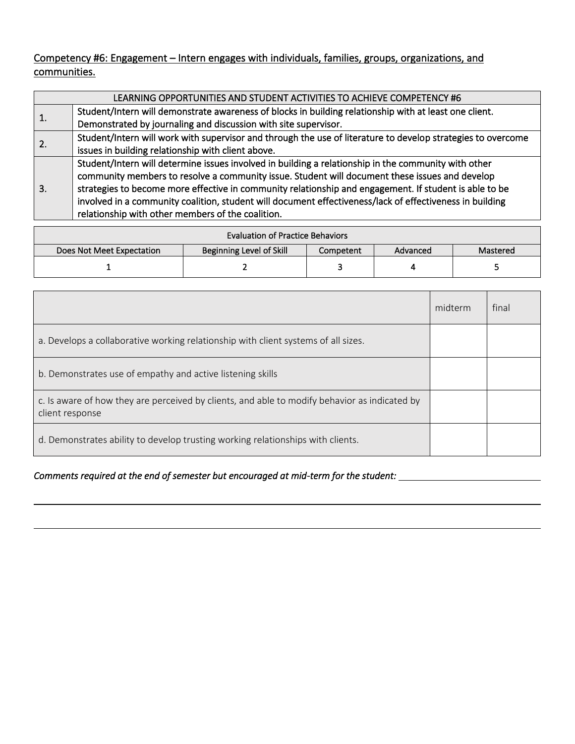Competency #6: Engagement – Intern engages with individuals, families, groups, organizations, and communities.

|              | LEARNING OPPORTUNITIES AND STUDENT ACTIVITIES TO ACHIEVE COMPETENCY #6                                       |
|--------------|--------------------------------------------------------------------------------------------------------------|
|              | Student/Intern will demonstrate awareness of blocks in building relationship with at least one client.       |
| $\mathbf{1}$ | Demonstrated by journaling and discussion with site supervisor.                                              |
| 2.           | Student/Intern will work with supervisor and through the use of literature to develop strategies to overcome |
|              | issues in building relationship with client above.                                                           |
|              | Student/Intern will determine issues involved in building a relationship in the community with other         |
|              | community members to resolve a community issue. Student will document these issues and develop               |
| 3.           | strategies to become more effective in community relationship and engagement. If student is able to be       |
|              | involved in a community coalition, student will document effectiveness/lack of effectiveness in building     |
|              | relationship with other members of the coalition.                                                            |

| <b>Evaluation of Practice Behaviors</b> |                                 |           |          |          |  |
|-----------------------------------------|---------------------------------|-----------|----------|----------|--|
| Does Not Meet Expectation               | <b>Beginning Level of Skill</b> | Competent | Advanced | Mastered |  |
|                                         |                                 |           |          |          |  |

|                                                                                                                  | midterm | final |
|------------------------------------------------------------------------------------------------------------------|---------|-------|
| a. Develops a collaborative working relationship with client systems of all sizes.                               |         |       |
| b. Demonstrates use of empathy and active listening skills                                                       |         |       |
| c. Is aware of how they are perceived by clients, and able to modify behavior as indicated by<br>client response |         |       |
| d. Demonstrates ability to develop trusting working relationships with clients.                                  |         |       |

#### *Comments required at the end of semester but encouraged at mid-term for the student:*

L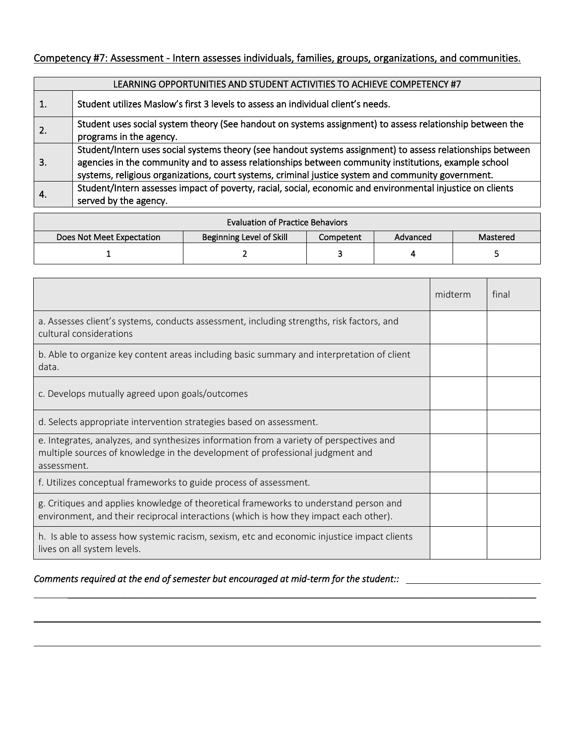# Competency #7: Assessment-Intern assesses individuals, families, groups, organizations, and communities.

|                | LEARNING OPPORTUNITIES AND STUDENT ACTIVITIES TO ACHIEVE COMPETENCY #7                                                                                                                                                                                                                                                   |  |  |  |  |
|----------------|--------------------------------------------------------------------------------------------------------------------------------------------------------------------------------------------------------------------------------------------------------------------------------------------------------------------------|--|--|--|--|
| $\mathbf{1}$ . | Student utilizes Maslow's first 3 levels to assess an individual client's needs.                                                                                                                                                                                                                                         |  |  |  |  |
| 2.             | Student uses social system theory (See handout on systems assignment) to assess relationship between the<br>programs in the agency.                                                                                                                                                                                      |  |  |  |  |
| 3.             | Student/Intern uses social systems theory (see handout systems assignment) to assess relationships between<br>agencies in the community and to assess relationships between community institutions, example school<br>systems, religious organizations, court systems, criminal justice system and community government. |  |  |  |  |
| 4.             | Student/Intern assesses impact of poverty, racial, social, economic and environmental injustice on clients<br>served by the agency.                                                                                                                                                                                      |  |  |  |  |

| <b>Evaluation of Practice Behaviors</b> |                                 |           |          |          |  |
|-----------------------------------------|---------------------------------|-----------|----------|----------|--|
| Does Not Meet Expectation               | <b>Beginning Level of Skill</b> | Competent | Advanced | Mastered |  |
|                                         |                                 |           |          |          |  |

|                                                                                                                                                                                         | midterm | final |
|-----------------------------------------------------------------------------------------------------------------------------------------------------------------------------------------|---------|-------|
| a. Assesses client's systems, conducts assessment, including strengths, risk factors, and<br>cultural considerations                                                                    |         |       |
| b. Able to organize key content areas including basic summary and interpretation of client<br>data.                                                                                     |         |       |
| c. Develops mutually agreed upon goals/outcomes                                                                                                                                         |         |       |
| d. Selects appropriate intervention strategies based on assessment.                                                                                                                     |         |       |
| e. Integrates, analyzes, and synthesizes information from a variety of perspectives and<br>multiple sources of knowledge in the development of professional judgment and<br>assessment. |         |       |
| f. Utilizes conceptual frameworks to guide process of assessment.                                                                                                                       |         |       |
| g. Critiques and applies knowledge of theoretical frameworks to understand person and<br>environment, and their reciprocal interactions (which is how they impact each other).          |         |       |
| h. Is able to assess how systemic racism, sexism, etc and economic injustice impact clients<br>lives on all system levels.                                                              |         |       |

\_\_\_\_\_\_\_\_\_\_\_\_\_\_\_\_\_\_\_\_\_\_\_\_\_\_\_\_\_\_\_\_\_\_\_\_\_\_\_\_\_\_\_\_\_\_\_\_\_\_\_\_\_\_\_\_\_\_\_\_\_\_\_\_\_\_\_\_\_\_\_\_\_\_\_\_\_\_\_\_\_\_\_\_\_\_\_\_\_\_\_

#### *Comments required at the end of semester but encouraged at mid-term for the student::*

L

 $\overline{\phantom{0}}$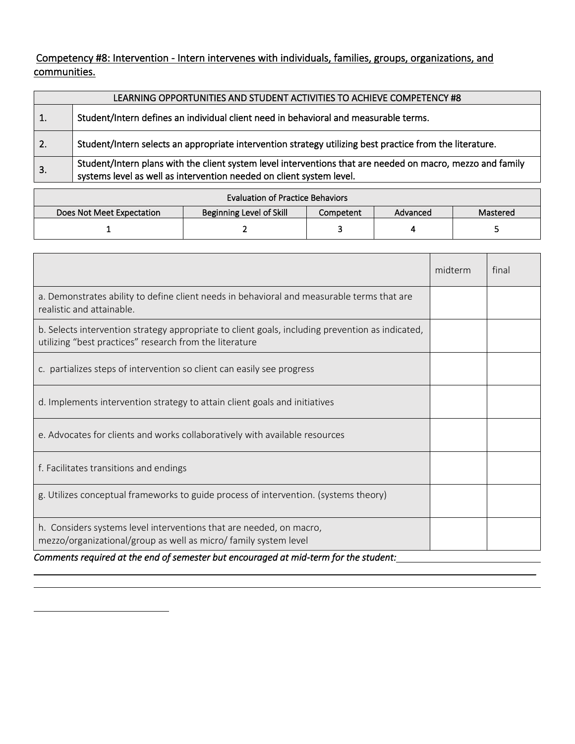Competency #8: Intervention *-* Intern intervenes with individuals, families, groups, organizations, and communities.

|                  | LEARNING OPPORTUNITIES AND STUDENT ACTIVITIES TO ACHIEVE COMPETENCY #8                                                                                                             |
|------------------|------------------------------------------------------------------------------------------------------------------------------------------------------------------------------------|
| 1.               | Student/Intern defines an individual client need in behavioral and measurable terms.                                                                                               |
| 2.               | Student/Intern selects an appropriate intervention strategy utilizing best practice from the literature.                                                                           |
| $\overline{3}$ . | Student/Intern plans with the client system level interventions that are needed on macro, mezzo and family<br>systems level as well as intervention needed on client system level. |

| <b>Evaluation of Practice Behaviors</b>                                                           |  |  |  |  |  |
|---------------------------------------------------------------------------------------------------|--|--|--|--|--|
| <b>Beginning Level of Skill</b><br>Does Not Meet Expectation<br>Mastered<br>Competent<br>Advanced |  |  |  |  |  |
|                                                                                                   |  |  |  |  |  |

|                                                                                                                                                                                                                                                           | midterm | final |
|-----------------------------------------------------------------------------------------------------------------------------------------------------------------------------------------------------------------------------------------------------------|---------|-------|
| a. Demonstrates ability to define client needs in behavioral and measurable terms that are<br>realistic and attainable.                                                                                                                                   |         |       |
| b. Selects intervention strategy appropriate to client goals, including prevention as indicated,<br>utilizing "best practices" research from the literature                                                                                               |         |       |
| c. partializes steps of intervention so client can easily see progress                                                                                                                                                                                    |         |       |
| d. Implements intervention strategy to attain client goals and initiatives                                                                                                                                                                                |         |       |
| e. Advocates for clients and works collaboratively with available resources                                                                                                                                                                               |         |       |
| f. Facilitates transitions and endings                                                                                                                                                                                                                    |         |       |
| g. Utilizes conceptual frameworks to guide process of intervention. (systems theory)                                                                                                                                                                      |         |       |
| h. Considers systems level interventions that are needed, on macro,<br>mezzo/organizational/group as well as micro/ family system level<br>concernate near-thead of the soud of concernation book concernational of neighbours fourth control and control |         |       |

 $\overline{\phantom{a}}$  , and the contribution of the contribution of the contribution of the contribution of the contribution of the contribution of the contribution of the contribution of the contribution of the contribution of the

*Comments required at the end of semester but encouraged at mid-term for the student:*

L

 $\overline{\phantom{0}}$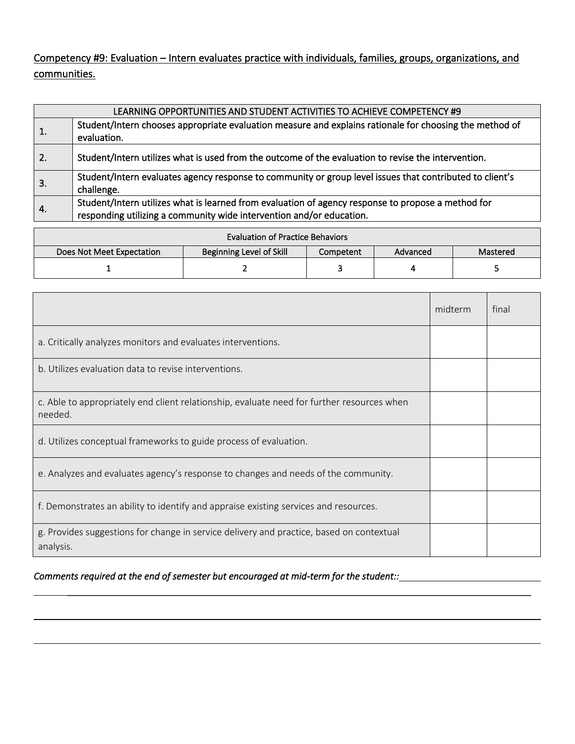Competency #9: Evaluation – Intern evaluates practice with individuals, families, groups, organizations, and communities.

| LEARNING OPPORTUNITIES AND STUDENT ACTIVITIES TO ACHIEVE COMPETENCY #9 |                                                                                                                                                                            |  |  |  |  |
|------------------------------------------------------------------------|----------------------------------------------------------------------------------------------------------------------------------------------------------------------------|--|--|--|--|
|                                                                        | Student/Intern chooses appropriate evaluation measure and explains rationale for choosing the method of<br>evaluation.                                                     |  |  |  |  |
| $\overline{2}$ .                                                       | Student/Intern utilizes what is used from the outcome of the evaluation to revise the intervention.                                                                        |  |  |  |  |
| 3.                                                                     | Student/Intern evaluates agency response to community or group level issues that contributed to client's<br>challenge.                                                     |  |  |  |  |
| -4.                                                                    | Student/Intern utilizes what is learned from evaluation of agency response to propose a method for<br>responding utilizing a community wide intervention and/or education. |  |  |  |  |

| <b>Evaluation of Practice Behaviors</b> |                                 |           |          |          |  |  |  |
|-----------------------------------------|---------------------------------|-----------|----------|----------|--|--|--|
| Does Not Meet Expectation               | <b>Beginning Level of Skill</b> | Competent | Advanced | Mastered |  |  |  |
|                                         |                                 |           |          |          |  |  |  |

|                                                                                                       | midterm | final |
|-------------------------------------------------------------------------------------------------------|---------|-------|
| a. Critically analyzes monitors and evaluates interventions.                                          |         |       |
| b. Utilizes evaluation data to revise interventions.                                                  |         |       |
| c. Able to appropriately end client relationship, evaluate need for further resources when<br>needed. |         |       |
| d. Utilizes conceptual frameworks to guide process of evaluation.                                     |         |       |
| e. Analyzes and evaluates agency's response to changes and needs of the community.                    |         |       |
| f. Demonstrates an ability to identify and appraise existing services and resources.                  |         |       |
| g. Provides suggestions for change in service delivery and practice, based on contextual<br>analysis. |         |       |

\_\_\_\_\_\_\_\_\_\_\_\_\_\_\_\_\_\_\_\_\_\_\_\_\_\_\_\_\_\_\_\_\_\_\_\_\_\_\_\_\_\_\_\_\_\_\_\_\_\_\_\_\_\_\_\_\_\_\_\_\_\_\_\_\_\_\_\_\_\_\_\_\_\_\_\_\_\_\_\_\_\_\_\_\_\_\_\_\_\_

*Comments required at the end of semester but encouraged at mid-term for the student::*

L

 $\overline{\phantom{0}}$